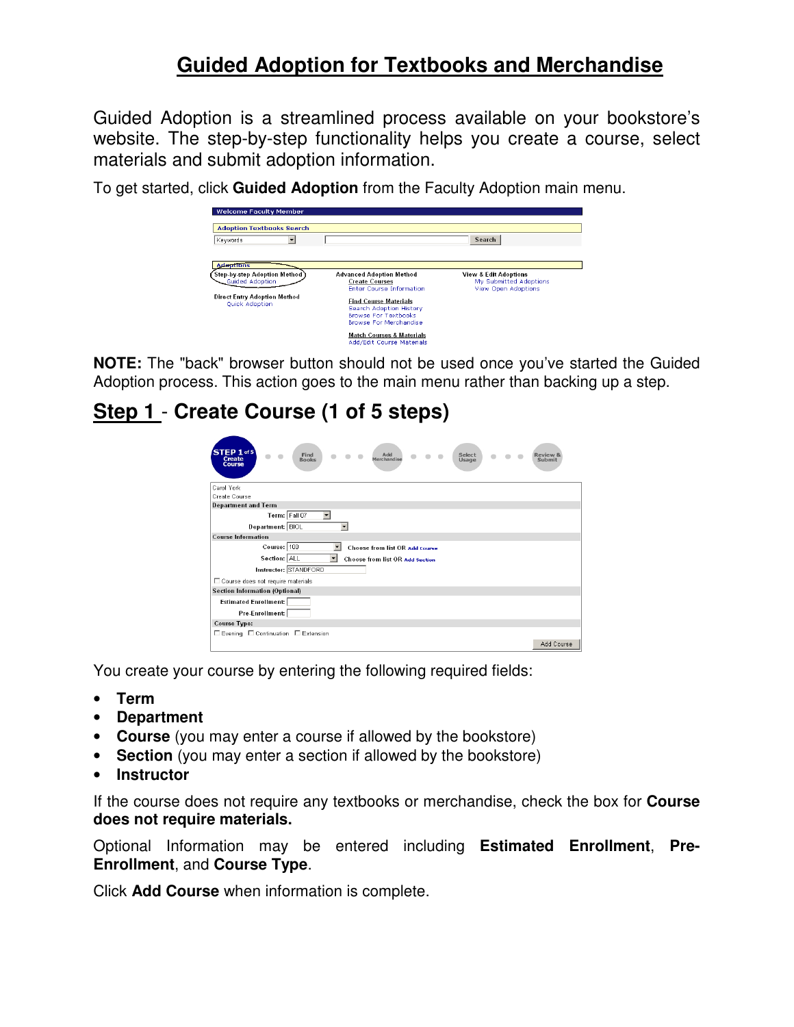# **Guided Adoption for Textbooks and Merchandise**

Guided Adoption is a streamlined process available on your bookstore's website. The step-by-step functionality helps you create a course, select materials and submit adoption information.

To get started, click **Guided Adoption** from the Faculty Adoption main menu.

| <b>Welcome Faculty Member</b>                         |                                                                   |                                  |
|-------------------------------------------------------|-------------------------------------------------------------------|----------------------------------|
|                                                       |                                                                   |                                  |
| <b>Adoption Textbooks Search</b>                      |                                                                   |                                  |
| Keywords                                              |                                                                   | Search                           |
|                                                       |                                                                   |                                  |
| <b>Adoptions</b>                                      |                                                                   |                                  |
| <b>Step-by-step Adoption Method</b>                   | <b>Advanced Adoption Method</b>                                   | <b>View &amp; Edit Adoptions</b> |
| <b>Guided Adoption</b>                                | <b>Create Courses</b>                                             | My Submitted Adoptions           |
|                                                       | <b>Enter Course Information</b>                                   | <b>View Open Adoptions</b>       |
| <b>Direct Entry Adoption Method</b><br>Quick Adoption | <b>Find Course Materials</b><br>Search Adoption History           |                                  |
|                                                       | <b>Browse For Textbooks</b>                                       |                                  |
|                                                       | Browse For Merchandise                                            |                                  |
|                                                       | <b>Match Courses &amp; Materials</b><br>Add/Edit Course Materials |                                  |

**NOTE:** The "back" browser button should not be used once you've started the Guided Adoption process. This action goes to the main menu rather than backing up a step.

# **Step 1** - **Create Course (1 of 5 steps)**

| $STEP 1$ of 5<br>Add<br>Find<br>Select<br><b>Create</b><br>Merchandise<br><b>Books</b><br>Usage<br>Course | Review<br>Submit |
|-----------------------------------------------------------------------------------------------------------|------------------|
| Carol York                                                                                                |                  |
| Create Course                                                                                             |                  |
| <b>Department and Term</b>                                                                                |                  |
| Term: Fall 07<br>$\overline{\phantom{a}}$                                                                 |                  |
| Department: BIOL                                                                                          |                  |
| <b>Course Information</b>                                                                                 |                  |
| Course: 100<br>Choose from list OR Add course                                                             |                  |
| Section: ALL<br>$\overline{\phantom{0}}$<br>Choose from list OR add section                               |                  |
| Instructor: STANDFORD                                                                                     |                  |
| □ Course does not require materials                                                                       |                  |
| <b>Section Information (Optional)</b>                                                                     |                  |
| <b>Estimated Enrollment:</b>                                                                              |                  |
| Pre-Enrollment:                                                                                           |                  |
| Course Type:                                                                                              |                  |
| □ Evening □ Continuation □ Extension                                                                      |                  |
|                                                                                                           | Add Course       |

You create your course by entering the following required fields:

- **Term**
- **Department**
- **Course** (you may enter a course if allowed by the bookstore)
- **Section** (you may enter a section if allowed by the bookstore)
- **Instructor**

If the course does not require any textbooks or merchandise, check the box for **Course does not require materials.** 

Optional Information may be entered including **Estimated Enrollment**, **Pre-Enrollment**, and **Course Type**.

Click **Add Course** when information is complete.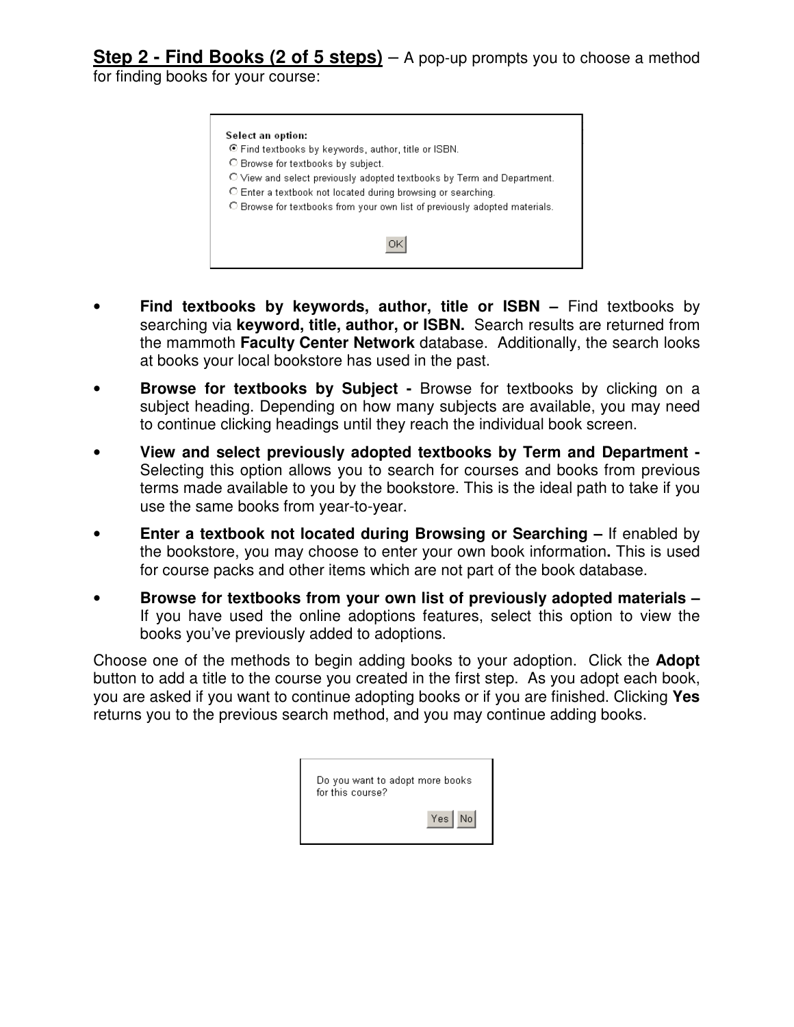**Step 2 - Find Books (2 of 5 steps)** – A pop-up prompts you to choose a method

for finding books for your course:

| O View and select previously adopted textbooks by Term and Department.     |  |
|----------------------------------------------------------------------------|--|
|                                                                            |  |
|                                                                            |  |
| O Enter a textbook not located during browsing or searching.               |  |
| O Browse for textbooks from your own list of previously adopted materials. |  |
|                                                                            |  |

- **Find textbooks by keywords, author, title or ISBN –** Find textbooks by searching via **keyword, title, author, or ISBN.** Search results are returned from the mammoth **Faculty Center Network** database. Additionally, the search looks at books your local bookstore has used in the past.
- **Browse for textbooks by Subject** Browse for textbooks by clicking on a subject heading. Depending on how many subjects are available, you may need to continue clicking headings until they reach the individual book screen.
- **View and select previously adopted textbooks by Term and Department**  Selecting this option allows you to search for courses and books from previous terms made available to you by the bookstore. This is the ideal path to take if you use the same books from year-to-year.
- **Enter a textbook not located during Browsing or Searching** If enabled by the bookstore, you may choose to enter your own book information**.** This is used for course packs and other items which are not part of the book database.
- **Browse for textbooks from your own list of previously adopted materials**  If you have used the online adoptions features, select this option to view the books you've previously added to adoptions.

Choose one of the methods to begin adding books to your adoption. Click the **Adopt** button to add a title to the course you created in the first step. As you adopt each book, you are asked if you want to continue adopting books or if you are finished. Clicking **Yes** returns you to the previous search method, and you may continue adding books.

| Do you want to adopt more books<br>for this course? |
|-----------------------------------------------------|
| Yes   No                                            |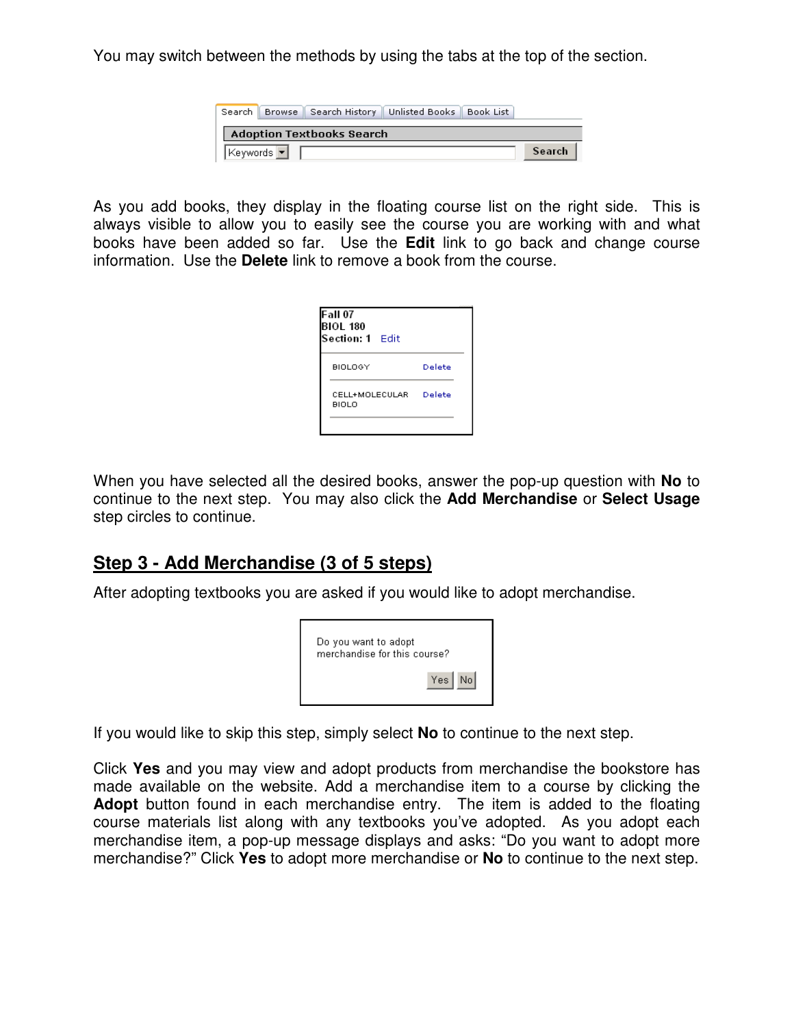You may switch between the methods by using the tabs at the top of the section.

|          | Search   Browse   Search History   Unlisted Books   Book List |  |        |
|----------|---------------------------------------------------------------|--|--------|
|          | <b>Adoption Textbooks Search</b>                              |  |        |
| Keywords |                                                               |  | Search |

As you add books, they display in the floating course list on the right side. This is always visible to allow you to easily see the course you are working with and what books have been added so far. Use the **Edit** link to go back and change course information. Use the **Delete** link to remove a book from the course.

| <b>Fall 07</b><br><b>BIOL 180</b><br>Section: 1 Edit |        |
|------------------------------------------------------|--------|
| BIOLOGY                                              | Delete |
| CELL+MOLECULAR<br>BIOLO                              | Delete |
|                                                      |        |

When you have selected all the desired books, answer the pop-up question with **No** to continue to the next step. You may also click the **Add Merchandise** or **Select Usage**  step circles to continue.

#### **Step 3 - Add Merchandise (3 of 5 steps)**

After adopting textbooks you are asked if you would like to adopt merchandise.



If you would like to skip this step, simply select **No** to continue to the next step.

Click **Yes** and you may view and adopt products from merchandise the bookstore has made available on the website. Add a merchandise item to a course by clicking the **Adopt** button found in each merchandise entry. The item is added to the floating course materials list along with any textbooks you've adopted. As you adopt each merchandise item, a pop-up message displays and asks: "Do you want to adopt more merchandise?" Click **Yes** to adopt more merchandise or **No** to continue to the next step.